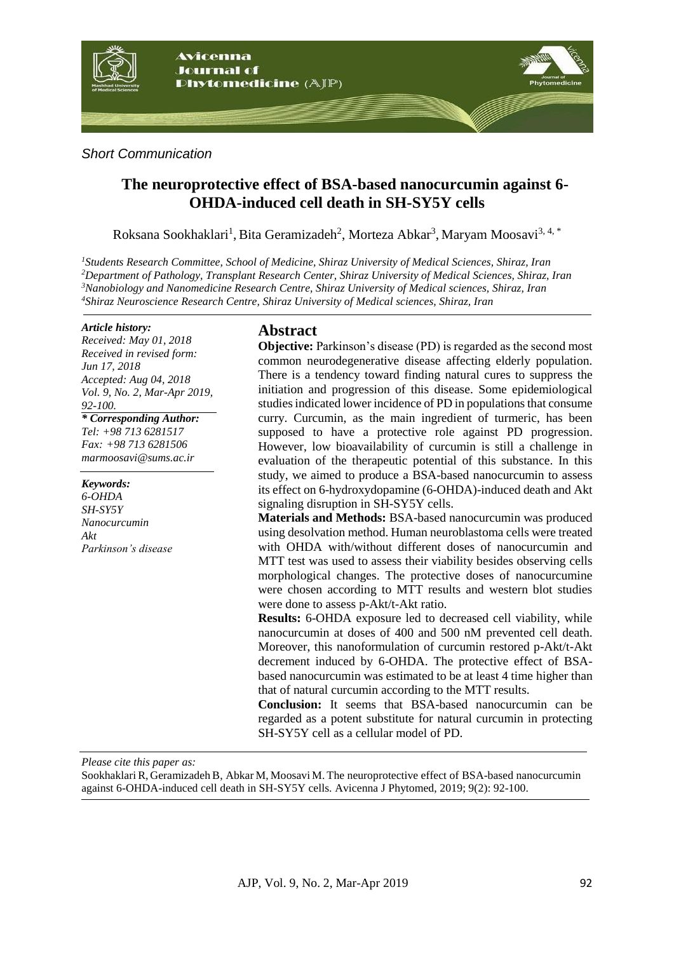

#### *Short Communication*

# **The neuroprotective effect of BSA-based nanocurcumin against 6- OHDA-induced cell death in SH-SY5Y cells**

Roksana Sookhaklari<sup>1</sup>, Bita Geramizadeh<sup>2</sup>, Morteza Abkar<sup>3</sup>, Maryam Moosavi<sup>3, 4, \*</sup>

*Students Research Committee, School of Medicine, Shiraz University of Medical Sciences, Shiraz, Iran Department of Pathology, Transplant Research Center, Shiraz University of Medical Sciences, Shiraz, Iran Nanobiology and Nanomedicine Research Centre, Shiraz University of Medical sciences, Shiraz, Iran Shiraz Neuroscience Research Centre, Shiraz University of Medical sciences, Shiraz, Iran*

#### *Article history:*

*Received: May 01, 2018 Received in revised form: Jun 17, 2018 Accepted: Aug 04, 2018 Vol. 9, No. 2, Mar-Apr 2019, 92-100. \* Corresponding Author: Tel: +98 713 6281517*

*Fax: +98 713 6281506 marmoosavi@sums.ac.ir*

*Keywords: 6-OHDA SH-SY5Y Nanocurcumin Akt Parkinson's disease*

### **Abstract**

**Objective:** Parkinson's disease (PD) is regarded as the second most common neurodegenerative disease affecting elderly population. There is a tendency toward finding natural cures to suppress the initiation and progression of this disease. Some epidemiological studiesindicated lower incidence of PD in populations that consume curry. Curcumin, as the main ingredient of turmeric, has been supposed to have a protective role against PD progression. However, low bioavailability of curcumin is still a challenge in evaluation of the therapeutic potential of this substance. In this study, we aimed to produce a BSA-based nanocurcumin to assess its effect on 6-hydroxydopamine (6-OHDA)-induced death and Akt signaling disruption in SH-SY5Y cells.

**Materials and Methods:** BSA-based nanocurcumin was produced using desolvation method. Human neuroblastoma cells were treated with OHDA with/without different doses of nanocurcumin and MTT test was used to assess their viability besides observing cells morphological changes. The protective doses of nanocurcumine were chosen according to MTT results and western blot studies were done to assess p-Akt/t-Akt ratio.

**Results:** 6-OHDA exposure led to decreased cell viability, while nanocurcumin at doses of 400 and 500 nM prevented cell death. Moreover, this nanoformulation of curcumin restored p-Akt/t-Akt decrement induced by 6-OHDA. The protective effect of BSAbased nanocurcumin was estimated to be at least 4 time higher than that of natural curcumin according to the MTT results.

**Conclusion:** It seems that BSA-based nanocurcumin can be regarded as a potent substitute for natural curcumin in protecting SH-SY5Y cell as a cellular model of PD.

*Please cite this paper as:* 

Sookhaklari R, Geramizadeh B, Abkar M, Moosavi M. The neuroprotective effect of BSA-based nanocurcumin against 6-OHDA-induced cell death in SH-SY5Y cells. Avicenna J Phytomed, 2019; 9(2): 92-100.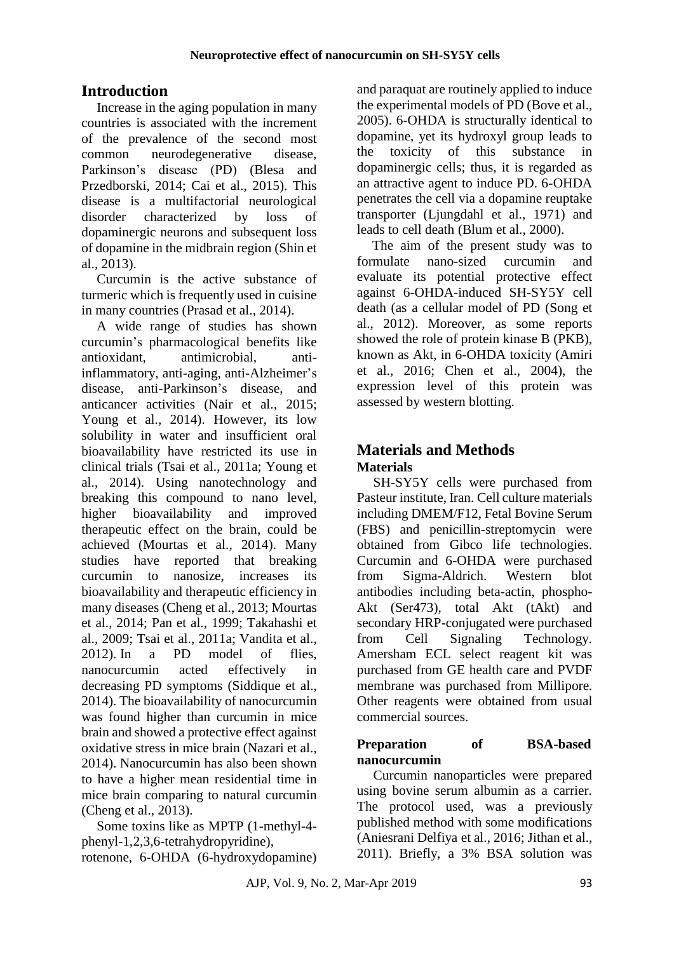# **Introduction**

Increase in the aging population in many countries is associated with the increment of the prevalence of the second most common neurodegenerative disease, Parkinson's disease (PD) [\(Blesa and](#page-6-0)  [Przedborski,](#page-6-0) 2014; [Cai et al.,](#page-6-1) 2015). This disease is a multifactorial neurological disorder characterized by loss of dopaminergic neurons and subsequent loss of dopamine in the midbrain region [\(Shin et](#page-7-0)  al., [2013\)](#page-7-0).

Curcumin is the active substance of turmeric which is frequently used in cuisine in many countries [\(Prasad et al.,](#page-7-1) 2014).

A wide range of studies has shown curcumin's pharmacological benefits like antioxidant, antimicrobial, antiinflammatory, anti-aging, anti-Alzheimer's disease, anti-Parkinson's disease, and anticancer activities [\(Nair et al.,](#page-7-2) 2015; [Young et al.,](#page-8-0) 2014). However, its low solubility in water and insufficient oral bioavailability have restricted its use in clinical trials [\(Tsai et al.,](#page-8-1) 2011a; [Young et](#page-8-0)  al., [2014\)](#page-8-0). Using nanotechnology and breaking this compound to nano level, higher bioavailability and improved therapeutic effect on the brain, could be achieved [\(Mourtas et al.,](#page-7-3) 2014). Many studies have reported that breaking curcumin to nanosize, increases its bioavailability and therapeutic efficiency in many diseases [\(Cheng et al.,](#page-6-2) 2013; [Mourtas](#page-7-3)  [et al.,](#page-7-3) 2014; [Pan et al.,](#page-7-4) 1999; [Takahashi et](#page-8-2)  al., [2009;](#page-8-2) [Tsai et al.,](#page-8-1) 2011a; [Vandita et al.,](#page-8-3) [2012\)](#page-8-3). In a PD model of flies, nanocurcumin acted effectively in decreasing PD symptoms [\(Siddique et al.,](#page-8-4) [2014\)](#page-8-4). The bioavailability of nanocurcumin was found higher than curcumin in mice brain and showed a protective effect against oxidative stress in mice brain [\(Nazari et al.,](#page-7-5) [2014\)](#page-7-5). Nanocurcumin has also been shown to have a higher mean residential time in mice brain comparing to natural curcumin [\(Cheng et al.,](#page-6-2) 2013).

Some toxins like as MPTP (1[-methyl-](http://en.wikipedia.org/wiki/Methyl)4 [phenyl-](http://en.wikipedia.org/wiki/Phenyl)1,2,3,6-tetrahydr[opyridine\)](http://en.wikipedia.org/wiki/Pyridine), rotenone, 6-OHDA (6-hydroxydopamine) and paraquat are routinely applied to induce the experimental models of PD [\(Bove et al.,](#page-6-3) [2005\)](#page-6-3). 6-OHDA is structurally identical to dopamine, yet its hydroxyl group leads to the toxicity of this substance in dopaminergic cells; thus, it is regarded as an attractive agent to induce PD. 6-OHDA penetrates the cell via a dopamine reuptake transporter [\(Ljungdahl et al.,](#page-7-6) 1971) and leads to cell death [\(Blum et al.,](#page-6-4) 2000).

The aim of the present study was to formulate nano-sized curcumin and evaluate its potential protective effect against 6-OHDA-induced SH-SY5Y cell death (as a cellular model of PD [\(Song et](#page-8-5)  al., [2012\)](#page-8-5). Moreover, as some reports showed the role of protein kinase B (PKB), known as Akt, in 6-OHDA toxicity [\(Amiri](#page-6-5)  [et al.,](#page-6-5) 2016; [Chen et al.,](#page-6-6) 2004), the expression level of this protein was assessed by western blotting.

# **Materials and Methods Materials**

SH-SY5Y cells were purchased from Pasteur institute, Iran. Cell culture materials including DMEM/F12, Fetal Bovine Serum (FBS) and penicillin-streptomycin were obtained from Gibco life technologies. Curcumin and 6-OHDA were purchased from Sigma-Aldrich. Western blot antibodies including beta-actin, phospho-Akt (Ser473), total Akt (tAkt) and secondary HRP-conjugated were purchased from Cell Signaling Technology. Amersham ECL select reagent kit was purchased from GE health care and PVDF membrane was purchased from Millipore. Other reagents were obtained from usual commercial sources.

### **Preparation of BSA-based nanocurcumin**

Curcumin nanoparticles were prepared using bovine serum albumin as a carrier. The protocol used, was a previously published method with some modifications [\(Aniesrani Delfiya et al.,](#page-6-7) 2016; [Jithan et al.,](#page-7-7) [2011\)](#page-7-7). Briefly, a 3% BSA solution was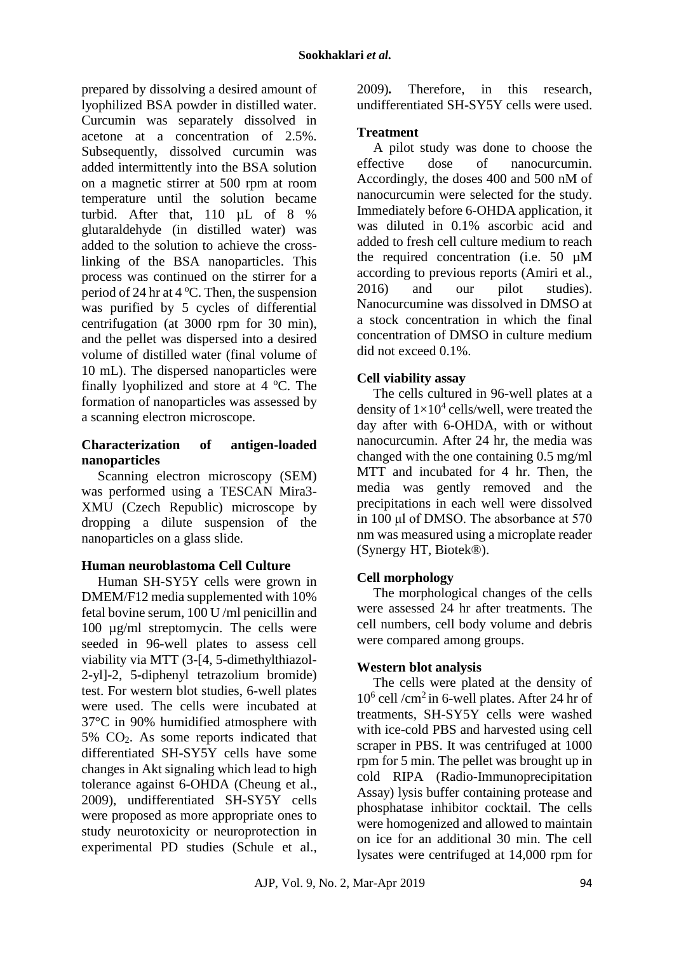prepared by dissolving a desired amount of lyophilized BSA powder in distilled water. Curcumin was separately dissolved in acetone at a concentration of 2.5%. Subsequently, dissolved curcumin was added intermittently into the BSA solution on a magnetic stirrer at 500 rpm at room temperature until the solution became turbid. After that, 110 µL of 8 % glutaraldehyde (in distilled water) was added to the solution to achieve the crosslinking of the BSA nanoparticles. This process was continued on the stirrer for a period of 24 hr at  $4^{\circ}$ C. Then, the suspension was purified by 5 cycles of differential centrifugation (at 3000 rpm for 30 min), and the pellet was dispersed into a desired volume of distilled water (final volume of 10 mL). The dispersed nanoparticles were finally lyophilized and store at  $4^{\circ}$ C. The formation of nanoparticles was assessed by a scanning electron microscope.

#### **Characterization of antigen-loaded nanoparticles**

Scanning electron microscopy (SEM) was performed using a TESCAN Mira3- XMU (Czech Republic) microscope by dropping a dilute suspension of the nanoparticles on a glass slide.

### **Human neuroblastoma Cell Culture**

Human SH-SY5Y cells were grown in DMEM/F12 media supplemented with 10% fetal bovine serum, 100 U /ml penicillin and 100 µg/ml streptomycin. The cells were seeded in 96-well plates to assess cell viability via MTT (3-[4, 5-dimethylthiazol-2-yl]-2, 5-diphenyl tetrazolium bromide) test. For western blot studies, 6-well plates were used. The cells were incubated at 37°C in 90% humidified atmosphere with 5% CO2. As some reports indicated that differentiated SH-SY5Y cells have some changes in Akt signaling which lead to high tolerance against 6-OHDA [\(Cheung et al.,](#page-6-8) [2009\)](#page-6-8), undifferentiated SH-SY5Y cells were proposed as more appropriate ones to study neurotoxicity or neuroprotection in experimental PD studies [\(Schule et al.,](#page-7-8) [2009\)](#page-7-8)*.* Therefore, in this research, undifferentiated SH-SY5Y cells were used.

### **Treatment**

A pilot study was done to choose the effective dose of nanocurcumin. Accordingly, the doses 400 and 500 nM of nanocurcumin were selected for the study. Immediately before 6-OHDA application, it was diluted in 0.1% ascorbic acid and added to fresh cell culture medium to reach the required concentration (i.e. 50 µM according to previous reports [\(Amiri et al.,](#page-6-5) [2016\)](#page-6-5) and our pilot studies). Nanocurcumine was dissolved in DMSO at a stock concentration in which the final concentration of DMSO in culture medium did not exceed 0.1%.

## **Cell viability assay**

The cells cultured in 96-well plates at a density of  $1\times10^4$  cells/well, were treated the day after with 6-OHDA, with or without nanocurcumin. After 24 hr, the media was changed with the one containing 0.5 mg/ml MTT and incubated for 4 hr. Then, the media was gently removed and the precipitations in each well were dissolved in 100 μl of DMSO. The absorbance at 570 nm was measured using a microplate reader (Synergy HT, Biotek®).

## **Cell morphology**

The morphological changes of the cells were assessed 24 hr after treatments. The cell numbers, cell body volume and debris were compared among groups.

## **Western blot analysis**

The cells were plated at the density of 10<sup>6</sup> cell /cm<sup>2</sup>in 6-well plates. After 24 hr of treatments, SH-SY5Y cells were washed with ice-cold PBS and harvested using cell scraper in PBS. It was centrifuged at 1000 rpm for 5 min. The pellet was brought up in cold RIPA (Radio-Immunoprecipitation Assay) lysis buffer containing protease and phosphatase inhibitor cocktail. The cells were homogenized and allowed to maintain on ice for an additional 30 min. The cell lysates were centrifuged at 14,000 rpm for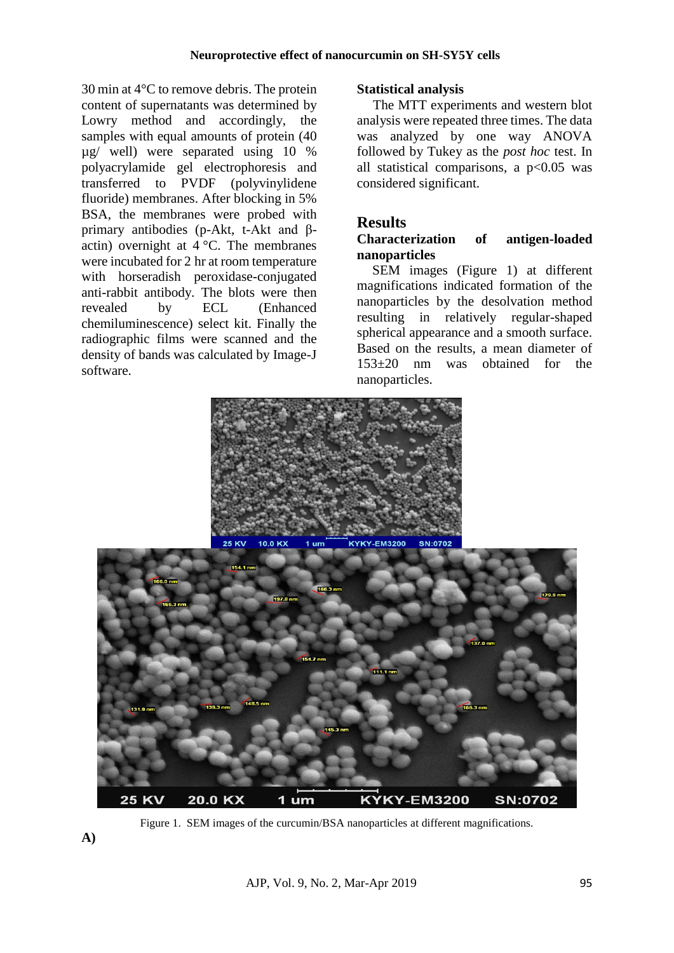30 min at 4°C to remove debris. The protein content of supernatants was determined by Lowry method and accordingly, the samples with equal amounts of protein (40 µg/ well) were separated using 10 % polyacrylamide gel electrophoresis and transferred to PVDF (polyvinylidene fluoride) membranes. After blocking in 5% BSA, the membranes were probed with primary antibodies (p-Akt, t-Akt and βactin) overnight at  $4^{\circ}$ C. The membranes were incubated for 2 hr at room temperature with horseradish peroxidase-conjugated anti-rabbit antibody. The blots were then revealed by ECL (Enhanced chemiluminescence) select kit. Finally the radiographic films were scanned and the density of bands was calculated by Image-J software.

### **Statistical analysis**

The MTT experiments and western blot analysis were repeated three times. The data was analyzed by one way ANOVA followed by Tukey as the *post hoc* test. In all statistical comparisons, a  $p<0.05$  was considered significant.

# **Results**

#### **Characterization of antigen-loaded nanoparticles**

SEM images (Figure 1) at different magnifications indicated formation of the nanoparticles by the desolvation method resulting in relatively regular-shaped spherical appearance and a smooth surface. Based on the results, a mean diameter of 153±20 nm was obtained for the nanoparticles.



Figure 1. SEM images of the curcumin/BSA nanoparticles at different magnifications.

**A)**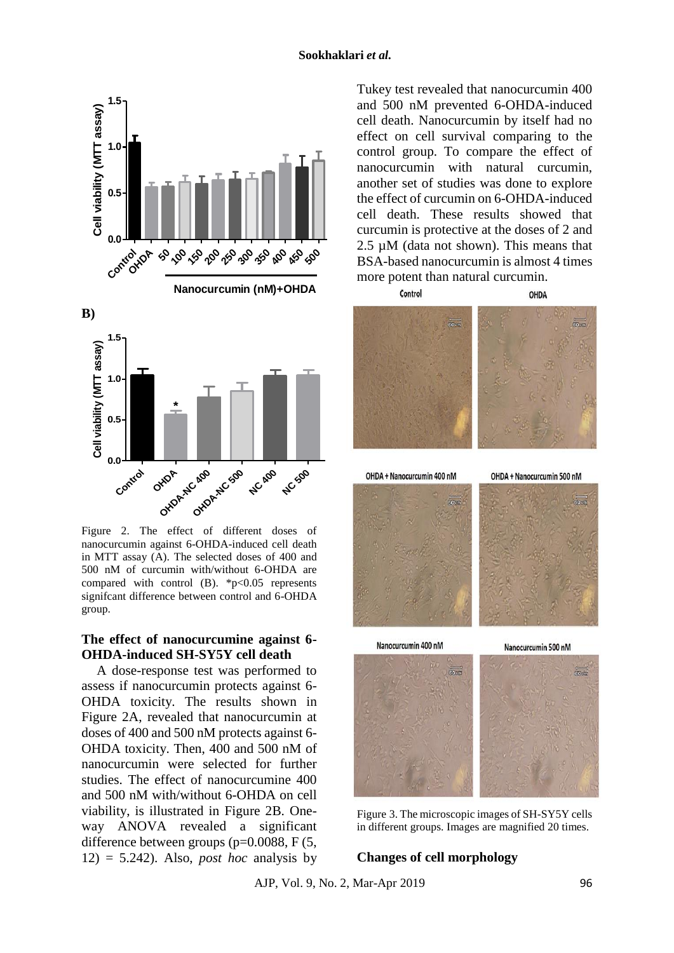

Figure 2. The effect of different doses of nanocurcumin against 6-OHDA-induced cell death in MTT assay (A). The selected doses of 400 and 500 nM of curcumin with/without 6-OHDA are compared with control  $(B)$ . \*p<0.05 represents signifcant difference between control and 6-OHDA group.

#### **The effect of nanocurcumine against 6- OHDA-induced SH-SY5Y cell death**

A dose-response test was performed to assess if nanocurcumin protects against 6- OHDA toxicity. The results shown in Figure 2A, revealed that nanocurcumin at doses of 400 and 500 nM protects against 6- OHDA toxicity. Then, 400 and 500 nM of nanocurcumin were selected for further studies. The effect of nanocurcumine 400 and 500 nM with/without 6-OHDA on cell viability, is illustrated in Figure 2B. Oneway ANOVA revealed a significant difference between groups (p=0.0088, F (5,  $12) = 5.242$ . Also, *post hoc* analysis by

Tukey test revealed that nanocurcumin 400 and 500 nM prevented 6-OHDA-induced cell death. Nanocurcumin by itself had no effect on cell survival comparing to the control group. To compare the effect of nanocurcumin with natural curcumin, another set of studies was done to explore the effect of curcumin on 6-OHDA-induced cell death. These results showed that curcumin is protective at the doses of 2 and  $2.5 \mu M$  (data not shown). This means that BSA-based nanocurcumin is almost 4 times more potent than natural curcumin.



Figure 3. The microscopic images of SH-SY5Y cells in different groups. Images are magnified 20 times.

#### **Changes of cell morphology**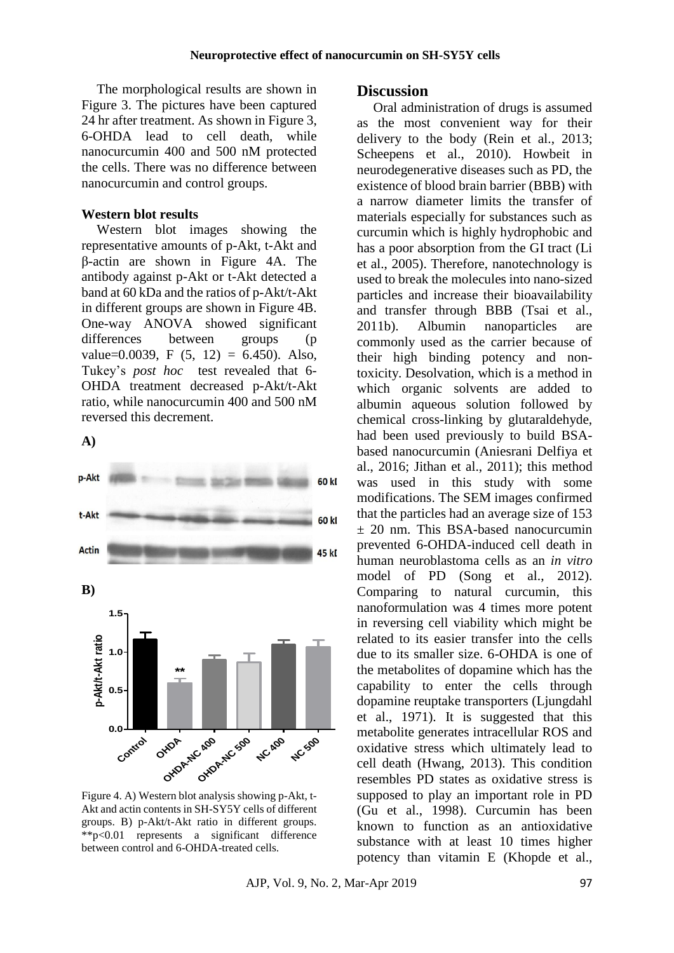The morphological results are shown in Figure 3. The pictures have been captured 24 hr after treatment. As shown in Figure 3, 6-OHDA lead to cell death, while nanocurcumin 400 and 500 nM protected the cells. There was no difference between nanocurcumin and control groups.

#### **Western blot results**

Western blot images showing the representative amounts of p-Akt, t-Akt and β-actin are shown in Figure 4A. The antibody against p-Akt or t-Akt detected a band at 60 kDa and the ratios of p-Akt/t-Akt in different groups are shown in Figure 4B. One-way ANOVA showed significant differences between groups (p value=0.0039, F  $(5, 12) = 6.450$ . Also, Tukey's *post hoc* test revealed that 6- OHDA treatment decreased p-Akt/t-Akt ratio, while nanocurcumin 400 and 500 nM reversed this decrement.

**A)**



#### Figure 4. A) Western blot analysis showing p-Akt, t-Akt and actin contents in SH-SY5Y cells of different groups. B) p-Akt/t-Akt ratio in different groups. \*\*p<0.01 represents a significant difference between control and 6-OHDA-treated cells.

#### **Discussion**

Oral administration of drugs is assumed as the most convenient way for their delivery to the body [\(Rein et al.,](#page-7-9) 2013; [Scheepens et al.,](#page-7-10) 2010). Howbeit in neurodegenerative diseases such as PD, the existence of blood brain barrier (BBB) with a narrow diameter limits the transfer of materials especially for substances such as curcumin which is highly hydrophobic and has a poor absorption from the GI tract [\(Li](#page-7-11)  [et al.,](#page-7-11) 2005). Therefore, nanotechnology is used to break the molecules into nano-sized particles and increase their bioavailability and transfer through BBB [\(Tsai et al.,](#page-8-6) [2011b\)](#page-8-6). Albumin nanoparticles are commonly used as the carrier because of their high binding potency and nontoxicity. Desolvation, which is a method in which organic solvents are added to albumin aqueous solution followed by chemical cross-linking by glutaraldehyde, had been used previously to build BSAbased nanocurcumin [\(Aniesrani Delfiya et](#page-6-7)  al., [2016;](#page-6-7) [Jithan et al.,](#page-7-7) 2011); this method was used in this study with some modifications. The SEM images confirmed that the particles had an average size of 153  $\pm$  20 nm. This BSA-based nanocurcumin prevented 6-OHDA-induced cell death in human neuroblastoma cells as an *in vitro*  model of PD [\(Song et al.,](#page-8-5) 2012). Comparing to natural curcumin, this nanoformulation was 4 times more potent in reversing cell viability which might be related to its easier transfer into the cells due to its smaller size. 6-OHDA is one of the metabolites of dopamine which has the capability to enter the cells through dopamine reuptake transporters [\(Ljungdahl](#page-7-6)  [et al.,](#page-7-6) 1971). It is suggested that this metabolite generates intracellular ROS and oxidative stress which ultimately lead to cell death [\(Hwang,](#page-7-12) 2013). This condition resembles PD states as oxidative stress is supposed to play an important role in PD [\(Gu et al.,](#page-7-13) 1998). Curcumin has been known to function as an antioxidative substance with at least 10 times higher potency than vitamin E [\(Khopde et al.,](#page-7-14)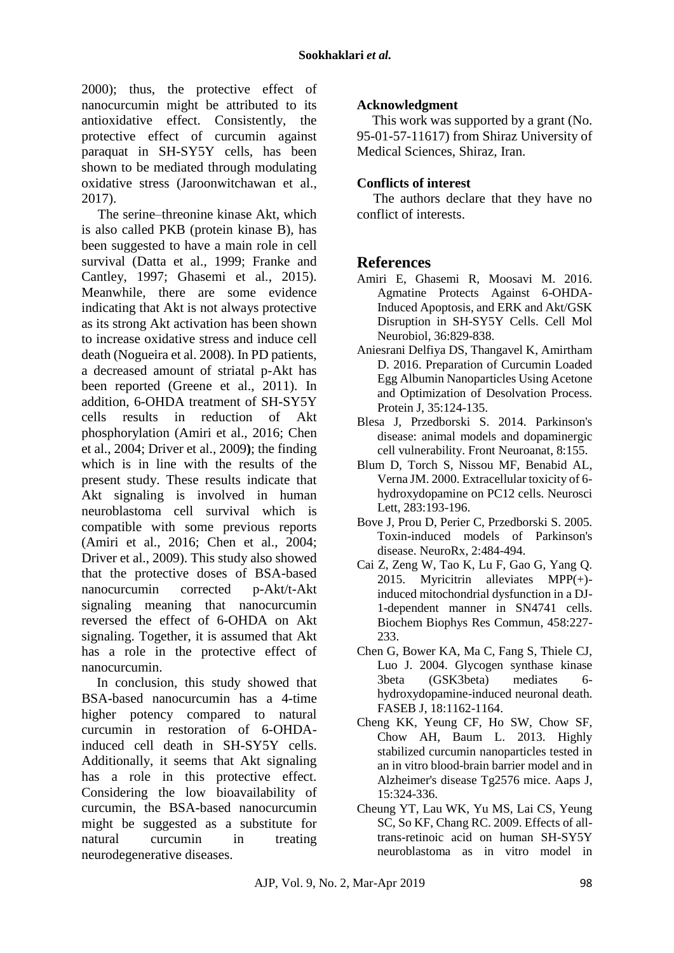[2000\)](#page-7-14); thus, the protective effect of nanocurcumin might be attributed to its antioxidative effect. Consistently, the protective effect of curcumin against paraquat in SH-SY5Y cells, has been shown to be mediated through modulating oxidative stress [\(Jaroonwitchawan et al.,](#page-7-15) [2017\)](#page-7-15).

The serine–threonine kinase Akt, which is also called PKB (protein kinase B), has been suggested to have a main role in cell survival [\(Datta et al.,](#page-7-16) 1999; [Franke and](#page-7-17)  [Cantley,](#page-7-17) 1997; [Ghasemi et al.,](#page-7-18) 2015). Meanwhile, there are some evidence indicating that Akt is not always protective as its strong Akt activation has been shown to increase oxidative stress and induce cell death [\(Nogueira et al. 2008\)](#page-7-19). In PD patients, a decreased amount of striatal p-Akt has been reported [\(Greene et al.,](#page-7-20) 2011). In addition, 6-OHDA treatment of SH-SY5Y cells results in reduction of Akt phosphorylation [\(Amiri et al.,](#page-6-5) 2016; [Chen](#page-6-6)  et al., [2004;](#page-6-6) [Driver et al.,](#page-7-21) 2009**)**; the finding which is in line with the results of the present study. These results indicate that Akt signaling is involved in human neuroblastoma cell survival which is compatible with some previous reports [\(Amiri et al.,](#page-6-5) 2016; [Chen et al.,](#page-6-6) 2004; [Driver et al.,](#page-7-21) 2009). This study also showed that the protective doses of BSA-based nanocurcumin corrected p-Akt/t-Akt signaling meaning that nanocurcumin reversed the effect of 6-OHDA on Akt signaling. Together, it is assumed that Akt has a role in the protective effect of nanocurcumin.

In conclusion, this study showed that BSA-based nanocurcumin has a 4-time higher potency compared to natural curcumin in restoration of 6-OHDAinduced cell death in SH-SY5Y cells. Additionally, it seems that Akt signaling has a role in this protective effect. Considering the low bioavailability of curcumin, the BSA-based nanocurcumin might be suggested as a substitute for natural curcumin in treating neurodegenerative diseases.

### **Acknowledgment**

This work was supported by a grant (No. 95-01-57-11617) from Shiraz University of Medical Sciences, Shiraz, Iran.

#### **Conflicts of interest**

The authors declare that they have no conflict of interests.

### **References**

- <span id="page-6-5"></span>Amiri E, Ghasemi R, Moosavi M. 2016. Agmatine Protects Against 6-OHDA-Induced Apoptosis, and ERK and Akt/GSK Disruption in SH-SY5Y Cells. Cell Mol Neurobiol, 36:829-838.
- <span id="page-6-7"></span>Aniesrani Delfiya DS, Thangavel K, Amirtham D. 2016. Preparation of Curcumin Loaded Egg Albumin Nanoparticles Using Acetone and Optimization of Desolvation Process. Protein J, 35:124-135.
- <span id="page-6-0"></span>Blesa J, Przedborski S. 2014. Parkinson's disease: animal models and dopaminergic cell vulnerability. Front Neuroanat, 8:155.
- <span id="page-6-4"></span>Blum D, Torch S, Nissou MF, Benabid AL, Verna JM. 2000. Extracellular toxicity of 6 hydroxydopamine on PC12 cells. Neurosci Lett, 283:193-196.
- <span id="page-6-3"></span>Bove J, Prou D, Perier C, Przedborski S. 2005. Toxin-induced models of Parkinson's disease. NeuroRx, 2:484-494.
- <span id="page-6-1"></span>Cai Z, Zeng W, Tao K, Lu F, Gao G, Yang Q. 2015. Myricitrin alleviates MPP(+) induced mitochondrial dysfunction in a DJ-1-dependent manner in SN4741 cells. Biochem Biophys Res Commun, 458:227- 233.
- <span id="page-6-6"></span>Chen G, Bower KA, Ma C, Fang S, Thiele CJ, Luo J. 2004. Glycogen synthase kinase 3beta (GSK3beta) mediates 6 hydroxydopamine-induced neuronal death. FASEB J, 18:1162-1164.
- <span id="page-6-2"></span>Cheng KK, Yeung CF, Ho SW, Chow SF, Chow AH, Baum L. 2013. Highly stabilized curcumin nanoparticles tested in an in vitro blood-brain barrier model and in Alzheimer's disease Tg2576 mice. Aaps J, 15:324-336.
- <span id="page-6-8"></span>Cheung YT, Lau WK, Yu MS, Lai CS, Yeung SC, So KF, Chang RC. 2009. Effects of alltrans-retinoic acid on human SH-SY5Y neuroblastoma as in vitro model in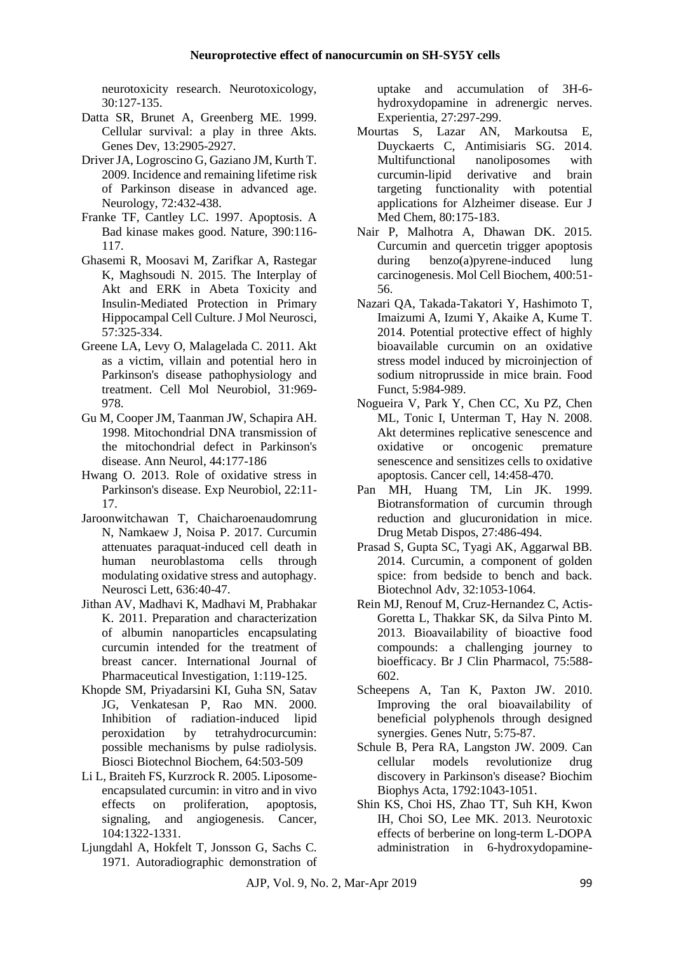neurotoxicity research. Neurotoxicology, 30:127-135.

- <span id="page-7-16"></span>Datta SR, Brunet A, Greenberg ME. 1999. Cellular survival: a play in three Akts. Genes Dev, 13:2905-2927.
- <span id="page-7-21"></span>Driver JA, Logroscino G, Gaziano JM, Kurth T. 2009. Incidence and remaining lifetime risk of Parkinson disease in advanced age. Neurology, 72:432-438.
- <span id="page-7-17"></span>Franke TF, Cantley LC. 1997. Apoptosis. A Bad kinase makes good. Nature, 390:116- 117.
- <span id="page-7-18"></span>Ghasemi R, Moosavi M, Zarifkar A, Rastegar K, Maghsoudi N. 2015. The Interplay of Akt and ERK in Abeta Toxicity and Insulin-Mediated Protection in Primary Hippocampal Cell Culture. J Mol Neurosci, 57:325-334.
- <span id="page-7-20"></span>Greene LA, Levy O, Malagelada C. 2011. Akt as a victim, villain and potential hero in Parkinson's disease pathophysiology and treatment. Cell Mol Neurobiol, 31:969- 978.
- <span id="page-7-13"></span>Gu M, Cooper JM, Taanman JW, Schapira AH. 1998. Mitochondrial DNA transmission of the mitochondrial defect in Parkinson's disease. Ann Neurol, 44:177-186
- <span id="page-7-12"></span>Hwang O. 2013. Role of oxidative stress in Parkinson's disease. Exp Neurobiol, 22:11- 17.
- <span id="page-7-15"></span>Jaroonwitchawan T, Chaicharoenaudomrung N, Namkaew J, Noisa P. 2017. Curcumin attenuates paraquat-induced cell death in human neuroblastoma cells through modulating oxidative stress and autophagy. Neurosci Lett, 636:40-47.
- <span id="page-7-7"></span>Jithan AV, Madhavi K, Madhavi M, Prabhakar K. 2011. Preparation and characterization of albumin nanoparticles encapsulating curcumin intended for the treatment of breast cancer. International Journal of Pharmaceutical Investigation, 1:119-125.
- <span id="page-7-14"></span>Khopde SM, Priyadarsini KI, Guha SN, Satav JG, Venkatesan P, Rao MN. 2000. Inhibition of radiation-induced lipid peroxidation by tetrahydrocurcumin: possible mechanisms by pulse radiolysis. Biosci Biotechnol Biochem, 64:503-509
- <span id="page-7-11"></span>Li L, Braiteh FS, Kurzrock R. 2005. Liposomeencapsulated curcumin: in vitro and in vivo effects on proliferation, apoptosis, signaling, and angiogenesis. Cancer, 104:1322-1331.
- <span id="page-7-6"></span>Ljungdahl A, Hokfelt T, Jonsson G, Sachs C. 1971. Autoradiographic demonstration of

uptake and accumulation of 3H-6 hydroxydopamine in adrenergic nerves. Experientia, 27:297-299.

- <span id="page-7-3"></span>Mourtas S, Lazar AN, Markoutsa E, Duyckaerts C, Antimisiaris SG. 2014. Multifunctional nanoliposomes with curcumin-lipid derivative and brain targeting functionality with potential applications for Alzheimer disease. Eur J Med Chem, 80:175-183.
- <span id="page-7-2"></span>Nair P, Malhotra A, Dhawan DK. 2015. Curcumin and quercetin trigger apoptosis during  $benzo(a)pyrene-induced lung$ carcinogenesis. Mol Cell Biochem, 400:51- 56.
- <span id="page-7-5"></span>Nazari QA, Takada-Takatori Y, Hashimoto T, Imaizumi A, Izumi Y, Akaike A, Kume T. 2014. Potential protective effect of highly bioavailable curcumin on an oxidative stress model induced by microinjection of sodium nitroprusside in mice brain. Food Funct, 5:984-989.
- <span id="page-7-19"></span>Nogueira V, Park Y, Chen CC, Xu PZ, Chen ML, Tonic I, Unterman T, Hay N. 2008. Akt determines replicative senescence and oxidative or oncogenic premature senescence and sensitizes cells to oxidative apoptosis. Cancer cell, 14:458-470.
- <span id="page-7-4"></span>Pan MH, Huang TM, Lin JK. 1999. Biotransformation of curcumin through reduction and glucuronidation in mice. Drug Metab Dispos, 27:486-494.
- <span id="page-7-1"></span>Prasad S, Gupta SC, Tyagi AK, Aggarwal BB. 2014. Curcumin, a component of golden spice: from bedside to bench and back. Biotechnol Adv, 32:1053-1064.
- <span id="page-7-9"></span>Rein MJ, Renouf M, Cruz-Hernandez C, Actis-Goretta L, Thakkar SK, da Silva Pinto M. 2013. Bioavailability of bioactive food compounds: a challenging journey to bioefficacy. Br J Clin Pharmacol, 75:588- 602.
- <span id="page-7-10"></span>Scheepens A, Tan K, Paxton JW. 2010. Improving the oral bioavailability of beneficial polyphenols through designed synergies. Genes Nutr, 5:75-87.
- <span id="page-7-8"></span>Schule B, Pera RA, Langston JW. 2009. Can cellular models revolutionize drug discovery in Parkinson's disease? Biochim Biophys Acta, 1792:1043-1051.
- <span id="page-7-0"></span>Shin KS, Choi HS, Zhao TT, Suh KH, Kwon IH, Choi SO, Lee MK. 2013. Neurotoxic effects of berberine on long-term L-DOPA administration in 6-hydroxydopamine-